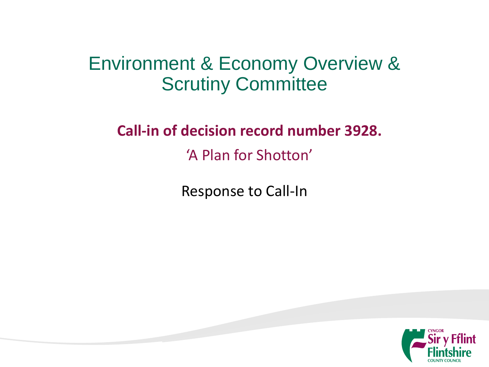#### Environment & Economy Overview & Scrutiny Committee

**Call-in of decision record number 3928.** 'A Plan for Shotton'

Response to Call-In

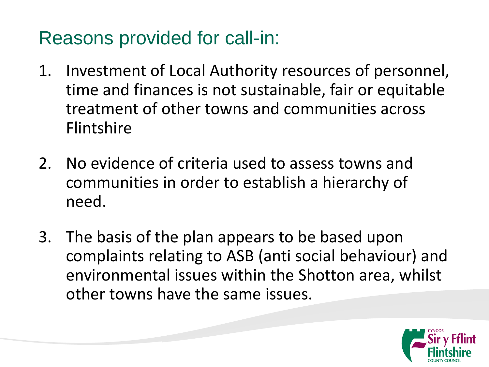## Reasons provided for call-in:

- 1. Investment of Local Authority resources of personnel, time and finances is not sustainable, fair or equitable treatment of other towns and communities across Flintshire
- 2. No evidence of criteria used to assess towns and communities in order to establish a hierarchy of need.
- 3. The basis of the plan appears to be based upon complaints relating to ASB (anti social behaviour) and environmental issues within the Shotton area, whilst other towns have the same issues.

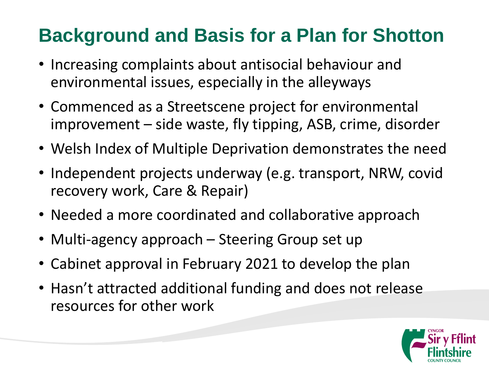# **Background and Basis for a Plan for Shotton**

- Increasing complaints about antisocial behaviour and environmental issues, especially in the alleyways
- Commenced as a Streetscene project for environmental improvement – side waste, fly tipping, ASB, crime, disorder
- Welsh Index of Multiple Deprivation demonstrates the need
- Independent projects underway (e.g. transport, NRW, covid recovery work, Care & Repair)
- Needed a more coordinated and collaborative approach
- Multi-agency approach Steering Group set up
- Cabinet approval in February 2021 to develop the plan
- Hasn't attracted additional funding and does not release resources for other work

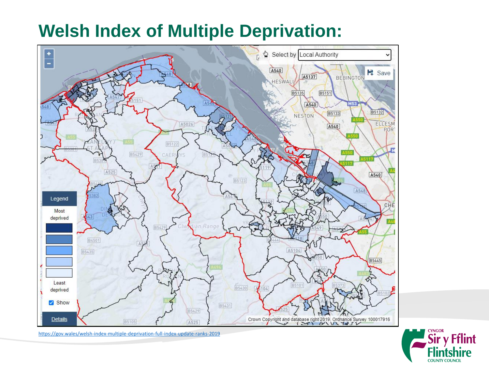#### **Welsh Index of Multiple Deprivation:**





<https://gov.wales/welsh-index-multiple-deprivation-full-index-update-ranks-2019>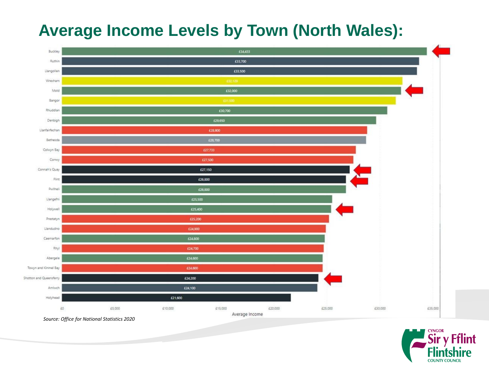#### **Average Income Levels by Town (North Wales):**



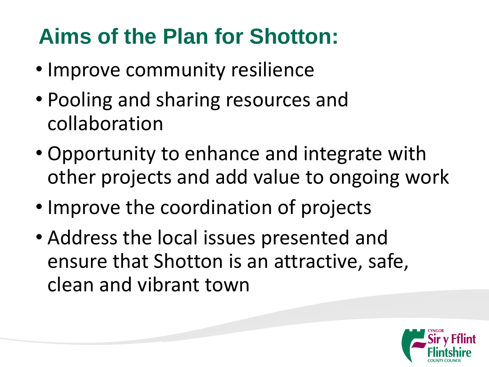# **Aims of the Plan for Shotton:**

- Improve community resilience
- Pooling and sharing resources and collaboration
- Opportunity to enhance and integrate with other projects and add value to ongoing work
- Improve the coordination of projects
- Address the local issues presented and ensure that Shotton is an attractive, safe, clean and vibrant town

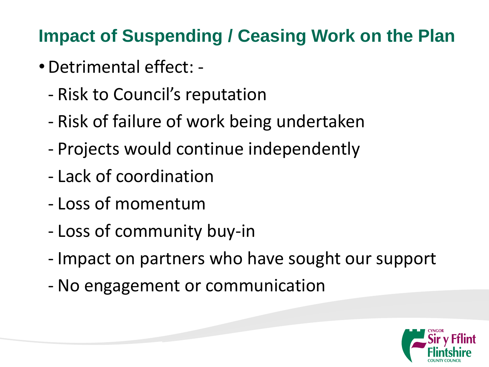## **Impact of Suspending / Ceasing Work on the Plan**

- •Detrimental effect:
	- Risk to Council's reputation
	- Risk of failure of work being undertaken
	- Projects would continue independently
	- Lack of coordination
	- Loss of momentum
	- Loss of community buy-in
	- Impact on partners who have sought our support
	- No engagement or communication